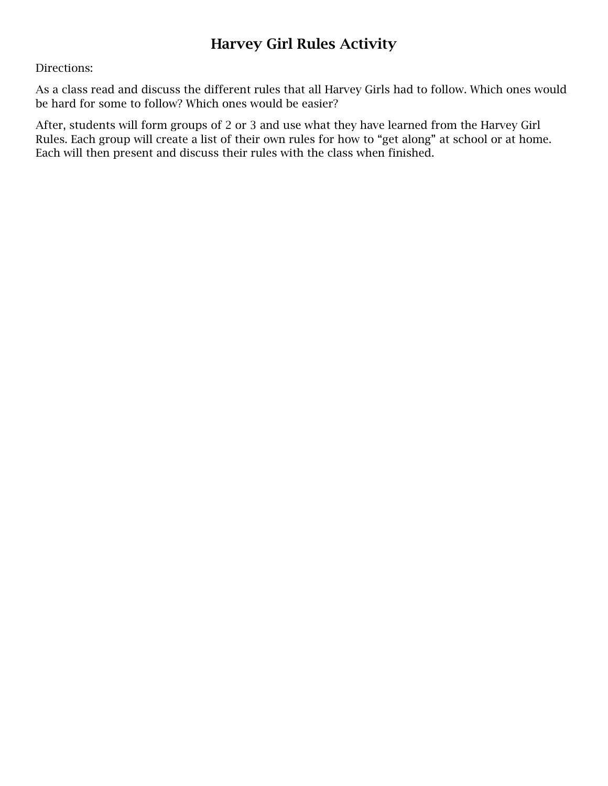## Harvey Girl Rules Activity

## Directions:

As a class read and discuss the different rules that all Harvey Girls had to follow. Which ones would be hard for some to follow? Which ones would be easier?

After, students will form groups of 2 or 3 and use what they have learned from the Harvey Girl Rules. Each group will create a list of their own rules for how to "get along" at school or at home. Each will then present and discuss their rules with the class when finished.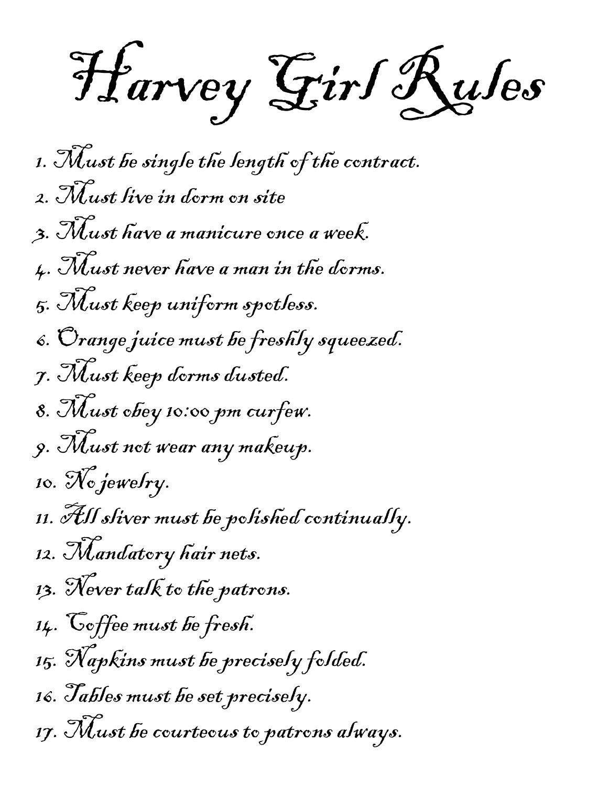Harvey Girl Rules

1. Must be single the length of the contract. 2. Must live in dorm on site 3. Must have a manicure once a week. 4. Must never have a man in the dorms. 5. Must keep uniform spotless. 6. Orange juice must be freshly squeezed. 7. Must keep dorms dusted. 8. Must obey 10:00 pm curfew. 9. Must not wear any makeup. 10. No jewelry. 11. All sliver must be polished continually. 12. Mandatory hair nets. 13. Never talk to the patrons. 14. Coffee must be fresh. 15. Napkins must be precisely folded. 16. Tables must be set precisely. 17. Must be courteous to patrons always.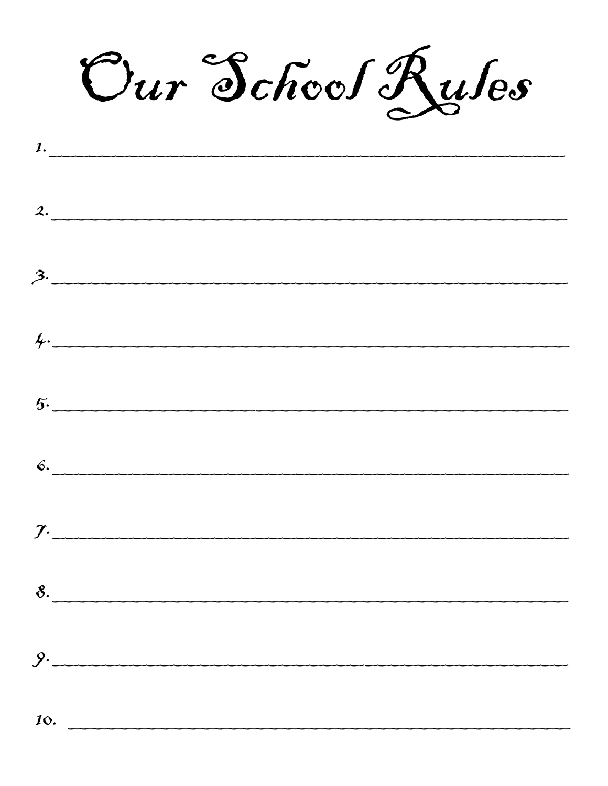Our School Ruses

|                 | $\mathcal{L} \cdot \underbrace{\qquad \qquad }$ |  |  |
|-----------------|-------------------------------------------------|--|--|
|                 |                                                 |  |  |
|                 | 3.                                              |  |  |
|                 |                                                 |  |  |
|                 | 4.                                              |  |  |
|                 |                                                 |  |  |
|                 | 5.                                              |  |  |
|                 |                                                 |  |  |
|                 | 6.                                              |  |  |
|                 |                                                 |  |  |
|                 | $\mathcal{I}$ .                                 |  |  |
|                 |                                                 |  |  |
|                 | 8.                                              |  |  |
|                 |                                                 |  |  |
|                 | 9.                                              |  |  |
|                 |                                                 |  |  |
| 10 <sub>1</sub> |                                                 |  |  |